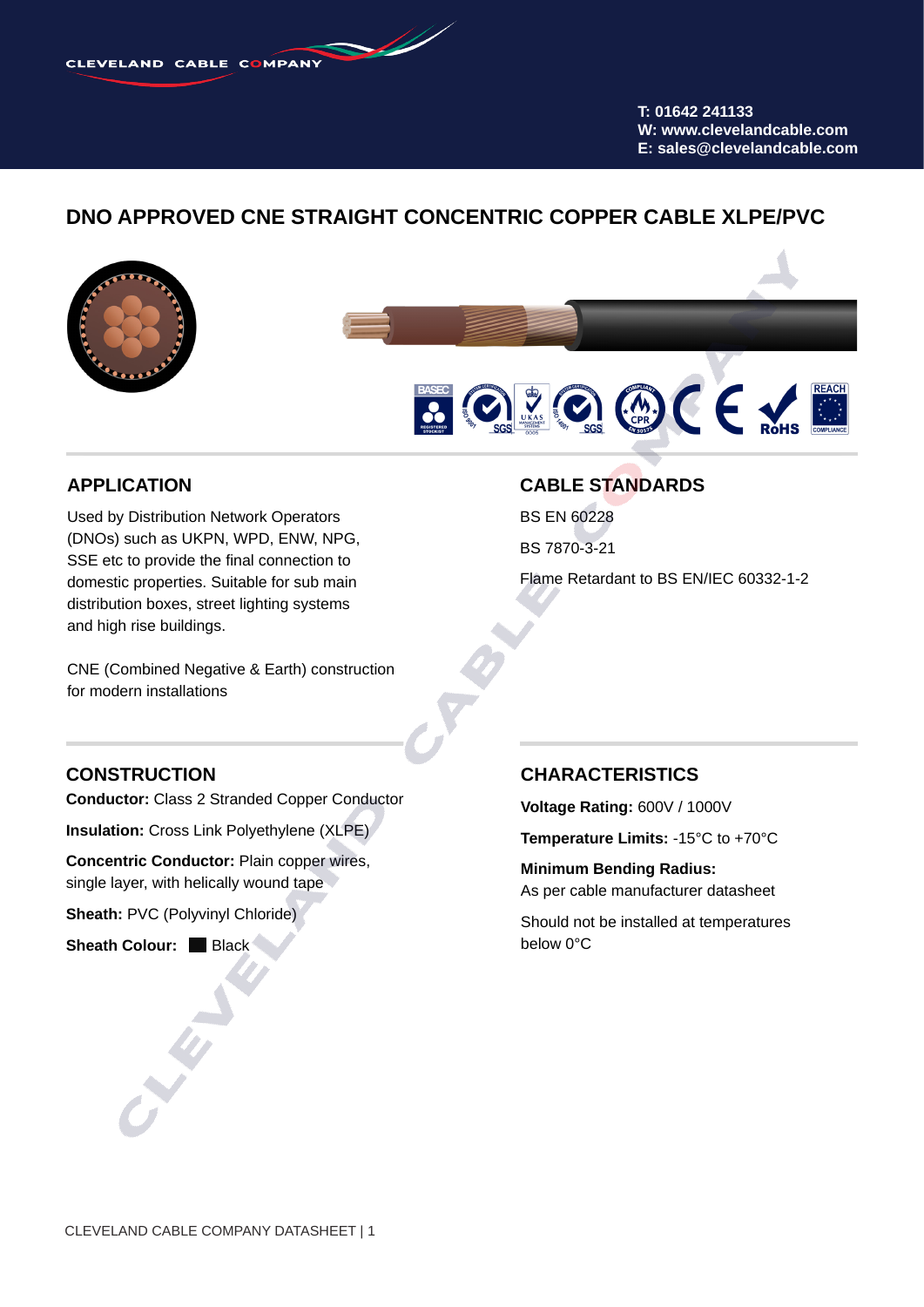**T: 01642 241133 W: www.clevelandcable.com E: sales@clevelandcable.com**

# **DNO APPROVED CNE STRAIGHT CONCENTRIC COPPER CABLE XLPE/PVC**





### **APPLICATION**

Used by Distribution Network Operators (DNOs) such as UKPN, WPD, ENW, NPG, SSE etc to provide the final connection to domestic properties. Suitable for sub main distribution boxes, street lighting systems and high rise buildings.

CNE (Combined Negative & Earth) construction for modern installations

#### **CABLE STANDARDS**

BS EN 60228

BS 7870-3-21

Flame Retardant to BS EN/IEC 60332-1-2

#### **CONSTRUCTION**

**Conductor:** Class 2 Stranded Copper Conductor

**Insulation:** Cross Link Polyethylene (XLPE)

**Concentric Conductor:** Plain copper wires, single layer, with helically wound tape

**Sheath:** PVC (Polyvinyl Chloride)

**Sheath Colour:** Black

#### **CHARACTERISTICS**

**Voltage Rating:** 600V / 1000V

**Temperature Limits:** -15°C to +70°C

**Minimum Bending Radius:** As per cable manufacturer datasheet

Should not be installed at temperatures below 0°C